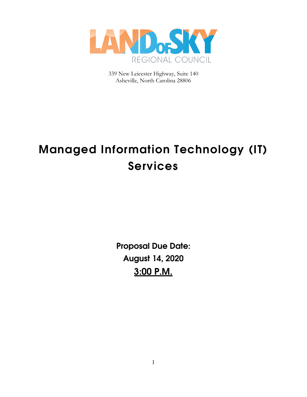

339 New Leicester Highway, Suite 140 Asheville, North Carolina 28806

# **Managed Information Technology (IT) Services**

**Proposal Due Date: August 14, 2020 3:00 P.M.**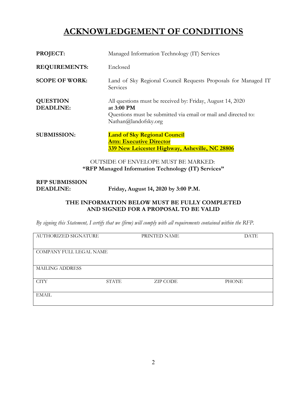# **ACKNOWLEDGEMENT OF CONDITIONS**

| PROJECT:                                                                                         | Managed Information Technology (IT) Services                                                                                                                       |  |
|--------------------------------------------------------------------------------------------------|--------------------------------------------------------------------------------------------------------------------------------------------------------------------|--|
| <b>REQUIREMENTS:</b>                                                                             | Enclosed                                                                                                                                                           |  |
| <b>SCOPE OF WORK:</b>                                                                            | Land of Sky Regional Council Requests Proposals for Managed IT<br>Services                                                                                         |  |
| <b>QUESTION</b><br><b>DEADLINE:</b>                                                              | All questions must be received by: Friday, August 14, 2020<br>at 3:00 PM<br>Questions must be submitted via email or mail and directed to:<br>Nathan@landofsky.org |  |
| <b>SUBMISSION:</b>                                                                               | <b>Land of Sky Regional Council</b><br><b>Attn: Executive Director</b><br>339 New Leicester Highway, Asheville, NC 28806                                           |  |
| <b>OUTSIDE OF ENVELOPE MUST BE MARKED:</b><br>"RFP Managed Information Technology (IT) Services" |                                                                                                                                                                    |  |

| <b>RFP SUBMISSION</b> |                                      |
|-----------------------|--------------------------------------|
| DEADLINE:             | Friday, August 14, 2020 by 3:00 P.M. |

#### **THE INFORMATION BELOW MUST BE FULLY COMPLETED AND SIGNED FOR A PROPOSAL TO BE VALID**

*By signing this Statement, I certify that we (firm) will comply with all requirements contained within the RFP.*

| AUTHORIZED SIGNATURE    |              | PRINTED NAME    | <b>DATE</b>  |
|-------------------------|--------------|-----------------|--------------|
|                         |              |                 |              |
| COMPANY FULL LEGAL NAME |              |                 |              |
|                         |              |                 |              |
| <b>MAILING ADDRESS</b>  |              |                 |              |
|                         |              |                 |              |
| <b>CITY</b>             | <b>STATE</b> | <b>ZIP CODE</b> | <b>PHONE</b> |
|                         |              |                 |              |
| <b>EMAIL</b>            |              |                 |              |
|                         |              |                 |              |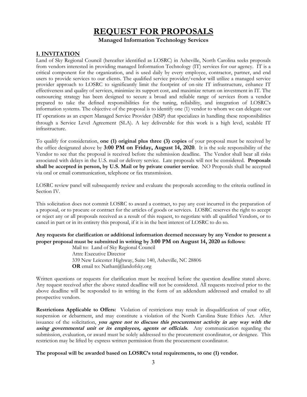# **REQUEST FOR PROPOSALS**

**Managed Information Technology Services** 

#### **I. INVITATION**

Land of Sky Regional Council (hereafter identified as LOSRC) in Asheville, North Carolina seeks proposals from vendors interested in providing managed Information Technology (IT) services for our agency. IT is a critical component for the organization, and is used daily by every employee, contractor, partner, and end users to provide services to our clients. The qualified service provider/vendor will utilize a managed service provider approach to LOSRC to significantly limit the footprint of on-site IT infrastructure, enhance IT effectiveness and quality of services, minimize its support cost, and maximize return on investment in IT. The outsourcing strategy has been designed to secure a broad and reliable range of services from a vendor prepared to take the defined responsibilities for the tuning, reliability, and integration of LOSRC's information systems. The objective of the proposal is to identify one (1) vendor to whom we can delegate our IT operations as an expert Managed Service Provider (MSP) that specializes in handling these responsibilities through a Service Level Agreement (SLA). A key deliverable for this work is a high level, scalable IT infrastructure.

To qualify for consideration, **one (1) original plus three (3) copies** of your proposal must be received by the office designated above by **3:00 PM on Friday, August 14, 2020**. It is the sole responsibility of the Vendor to see that the proposal is received before the submission deadline. The Vendor shall bear all risks associated with delays in the U.S. mail or delivery service. Late proposals will not be considered. **Proposals shall be accepted in person, by U.S. Mail or by private courier service**. NO Proposals shall be accepted via oral or email communication, telephone or fax transmission.

LOSRC review panel will subsequently review and evaluate the proposals according to the criteria outlined in Section IV.

This solicitation does not commit LOSRC to award a contract, to pay any cost incurred in the preparation of a proposal, or to procure or contract for the articles of goods or services. LOSRC reserves the right to accept or reject any or all proposals received as a result of this request, to negotiate with all qualified Vendors, or to cancel in part or in its entirety this proposal, if it is in the best interest of LOSRC to do so.

#### **Any requests for clarification or additional information deemed necessary by any Vendor to present a proper proposal must be submitted in writing by 3:00 PM on August 14, 2020 as follows:**

Mail to: Land of Sky Regional Council Attn: Executive Director 339 New Leicester Highway, Suite 140, Asheville, NC 28806 **OR** email to: Nathan@landofsky.org

Written questions or requests for clarification must be received before the question deadline stated above. Any request received after the above stated deadline will not be considered. All requests received prior to the above deadline will be responded to in writing in the form of an addendum addressed and emailed to all prospective vendors.

**Restrictions Applicable to Offers:** Violation of restrictions may result in disqualification of your offer, suspension or debarment, and may constitute a violation of the North Carolina State Ethics Act. After issuance of the solicitation, **you agree not to discuss this procurement activity in any way with the using governmental unit or its employees, agents or officials.** Any communication regarding the submission, evaluation, or award must be solely addressed to the procurement coordinator, or designee. This restriction may be lifted by express written permission from the procurement coordinator.

#### **The proposal will be awarded based on LOSRC's total requirements, to one (1) vendor.**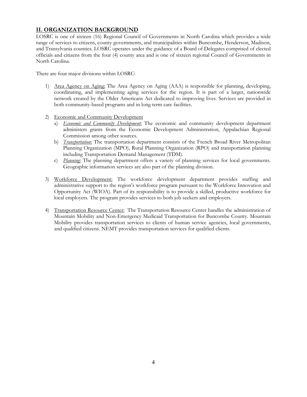#### **II. ORGANIZATION BACKGROUND**

LOSRC is one of sixteen (16) Regional Council of Governments in North Carolina which provides a wide range of services to citizens, county governments, and municipalities within Buncombe, Henderson, Madison, and Transylvania counties. LOSRC operates under the guidance of a Board of Delegates comprised of elected officials and citizens from the four (4) county area and is one of sixteen regional Council of Governments in North Carolina.

There are four major divisions within LOSRC:

- 1) Area Agency on Aging: The Area Agency on Aging (AAA) is responsible for planning, developing, coordinating, and implementing aging services for the region. It is part of a larger, nationwide network created by the Older Americans Act dedicated to improving lives. Services are provided in both community-based programs and in long term care facilities.
- 2) Economic and Community Development
	- a) *Economic and Community Development*: The economic and community development department administers grants from the Economic Development Administration, Appalachian Regional Commission among other sources.
	- b) *Transportation*: The transportation department consists of the French Broad River Metropolitan Planning Organization (MPO), Rural Planning Organization (RPO) and transportation planning including Transportation Demand Management (TDM).
	- c) *Planning:* The planning department offers a variety of planning services for local governments. Geographic information services are also part of the planning division.
- 3) Workforce Development: The workforce development department provides staffing and administrative support to the region's workforce program pursuant to the Workforce Innovation and Opportunity Act (WIOA). Part of its responsibility is to provide a skilled, productive workforce for local employers. The program provides services to both job seekers and employers.
- 4) Transportation Resource Center: The Transportation Resource Center handles the administration of Mountain Mobility and Non-Emergency Medicaid Transportation for Buncombe County. Mountain Mobility provides transportation services to clients of human service agencies, local governments, and qualified citizens. NEMT provides transportation services for qualified clients.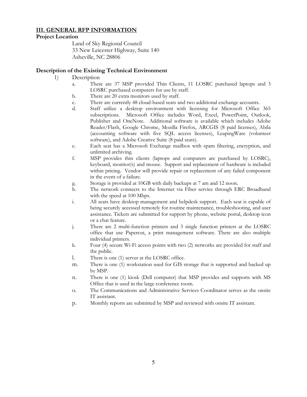#### **III. GENERAL RFP INFORMATION**

#### **Project Location**

Land of Sky Regional Council 33 New Leicester Highway, Suite 140 Asheville, NC 28806

#### **Description of the Existing Technical Environment**

- 1) Description
	- a. There are 37 MSP provided Thin Clients, 11 LOSRC purchased laptops and 3 LOSRC purchased computers for use by staff.
	- b. There are 20 extra monitors used by staff.
	- c. There are currently 48 cloud-based seats and two additional exchange accounts.
	- d. Staff utilize a desktop environment with licensing for Microsoft Office 365 subscriptions. Microsoft Office includes Word, Excel, PowerPoint, Outlook, Publisher and OneNote. Additional software is available which includes Adobe Reader/Flash, Google Chrome, Mozilla Firefox, ARCGIS (8 paid licenses), Abila (accounting software with five SQL access licenses), LeapingWare (volunteer software), and Adobe Creative Suite (8 paid seats).
	- e. Each seat has a Microsoft Exchange mailbox with spam filtering, encryption, and unlimited archiving.
	- f. MSP provides thin clients (laptops and computers are purchased by LOSRC), keyboard, monitor(s) and mouse. Support and replacement of hardware is included within pricing. Vendor will provide repair or replacement of any failed component in the event of a failure.
	- g. Storage is provided at 10GB with daily backups at 7 am and 12 noon.
	- h. The network connects to the Internet via Fiber service through ERC Broadband with the speed at 100 Mbps.
	- i. All seats have desktop management and helpdesk support. Each seat is capable of being securely accessed remotely for routine maintenance, troubleshooting, and user assistance. Tickets are submitted for support by phone, website portal, desktop icon or a chat feature.
	- j. There are 2 multi-function printers and 3 single function printers at the LOSRC office that use Papercut, a print management software. There are also multiple individual printers.
	- k. Four (4) secure Wi-Fi access points with two (2) networks are provided for staff and the public.
	- l. There is one (1) server at the LOSRC office.
	- m. There is one (1) workstation used for GIS storage that is supported and backed up by MSP.
	- n. There is one (1) kiosk (Dell computer) that MSP provides and supports with MS Office that is used in the large conference room.
	- o. The Communications and Administrative Services Coordinator serves as the onsite IT assistant.
	- p. Monthly reports are submitted by MSP and reviewed with onsite IT assistant.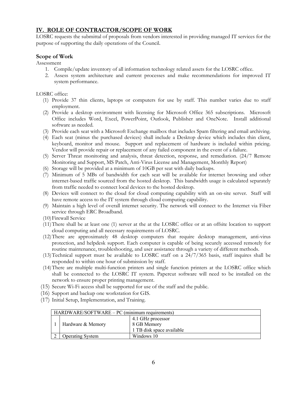#### **IV. ROLE OF CONTRACTOR/SCOPE OF WORK**

LOSRC requests the submittal of proposals from vendors interested in providing managed IT services for the purpose of supporting the daily operations of the Council.

#### **Scope of Work**

Assessment

- 1. Compile/update inventory of all information technology related assets for the LOSRC office.
- 2. Assess system architecture and current processes and make recommendations for improved IT system performance.

#### LOSRC office:

- (1) Provide 37 thin clients, laptops or computers for use by staff. This number varies due to staff employment.
- (2) Provide a desktop environment with licensing for Microsoft Office 365 subscriptions. Microsoft Office includes Word, Excel, PowerPoint, Outlook, Publisher and OneNote. Install additional software as needed.
- (3) Provide each seat with a Microsoft Exchange mailbox that includes Spam filtering and email archiving.
- (4) Each seat (minus the purchased devices) shall include a Desktop device which includes thin client, keyboard, monitor and mouse. Support and replacement of hardware is included within pricing. Vendor will provide repair or replacement of any failed component in the event of a failure.
- (5) Server Threat monitoring and analysis, threat detection, response, and remediation. (24/7 Remote Monitoring and Support, MS Patch, Anti-Virus License and Management, Monthly Report)
- (6) Storage will be provided at a minimum of 10GB per seat with daily backups.
- (7) Minimum of 5 MBs of bandwidth for each seat will be available for internet browsing and other internet-based traffic sourced from the hosted desktop. This bandwidth usage is calculated separately from traffic needed to connect local devices to the hosted desktop.
- (8) Devices will connect to the cloud for cloud computing capability with an on-site server. Staff will have remote access to the IT system through cloud computing capability.
- (9) Maintain a high level of overall internet security. The network will connect to the Internet via Fiber service through ERC Broadband.
- (10)Firewall Service
- (11)There shall be at least one (1) server at the at the LOSRC office or at an offsite location to support cloud computing and all necessary requirements of LOSRC.
- (12)There are approximately 48 desktop computers that require desktop management, anti-virus protection, and helpdesk support. Each computer is capable of being securely accessed remotely for routine maintenance, troubleshooting, and user assistance through a variety of different methods.
- (13)Technical support must be available to LOSRC staff on a 24/7/365 basis, staff inquires shall be responded to within one hour of submission by staff.
- (14)There are multiple multi-function printers and single function printers at the LOSRC office which shall be connected to the LOSRC IT system. Papercut software will need to be installed on the network to ensure proper printing management.
- (15) Secure Wi-Fi access shall be supported for use of the staff and the public.
- (16) Support and backup one workstation for GIS.
- (17) Initial Setup, Implementation, and Training.

| HARDWARE/SOFTWARE – PC (minimum requirements) |                         |                                                               |  |  |
|-----------------------------------------------|-------------------------|---------------------------------------------------------------|--|--|
|                                               | Hardware & Memory       | 4.1 GHz processor<br>8 GB Memory<br>1 TB disk space available |  |  |
|                                               | <b>Operating System</b> | Windows 10                                                    |  |  |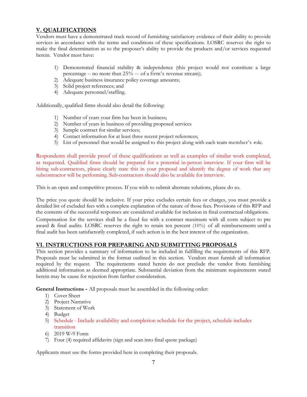#### **V. QUALIFICATIONS**

Vendors must have a demonstrated track record of furnishing satisfactory evidence of their ability to provide services in accordance with the terms and conditions of these specifications. LOSRC reserves the right to make the final determination as to the proposer's ability to provide the products and/or services requested herein. Vendor must have:

- 1) Demonstrated financial stability & independence (this project would not constitute a large percentage -- no more than 25% -- of a firm's revenue stream);
- 2) Adequate business insurance policy coverage amounts;
- 3) Solid project references; and
- 4) Adequate personnel/staffing.

Additionally, qualified firms should also detail the following:

- 1) Number of years your firm has been in business;
- 2) Number of years in business of providing proposed services
- 3) Sample contract for similar services;
- 4) Contact information for at least three recent project references;
- 5) List of personnel that would be assigned to this project along with each team member's role.

Respondents shall provide proof of these qualifications as well as examples of similar work completed, as requested. Qualified firms should be prepared for a potential in-person interview. If your firm will be hiring sub-contractors, please clearly state this in your proposal and identify the degree of work that any subcontractor will be performing. Sub-contractors should also be available for interview.

This is an open and competitive process. If you wish to submit alternate solutions, please do so.

The price you quote should be inclusive. If your price excludes certain fees or charges, you must provide a detailed list of excluded fees with a complete explanation of the nature of those fees. Provisions of this RFP and the contents of the successful responses are considered available for inclusion in final contractual obligations.

Compensation for the services shall be a fixed fee with a contract maximum with all costs subject to pre award & final audits. LOSRC reserves the right to retain ten percent (10%) of all reimbursements until a final audit has been satisfactorily completed, if such action is in the best interest of the organization.

#### **VI. INSTRUCTIONS FOR PREPARING AND SUBMITTING PROPOSALS**

This section provides a summary of information to be included in fulfilling the requirements of this RFP. Proposals must be submitted in the format outlined in this section. Vendors must furnish all information required by the request. The requirements stated herein do not preclude the vendor from furnishing additional information as deemed appropriate. Substantial deviation from the minimum requirements stated herein may be cause for rejection from further consideration.

**General Instructions -** All proposals must be assembled in the following order:

- 1) Cover Sheet
- 2) Project Narrative
- 3) Statement of Work
- 4) Budget
- 5) Schedule Include availability and completion schedule for the project, schedule includes transition
- 6) 2019 W‐9 Form
- 7) Four (4) required affidavits (sign and scan into final quote package)

Applicants must use the forms provided here in completing their proposals.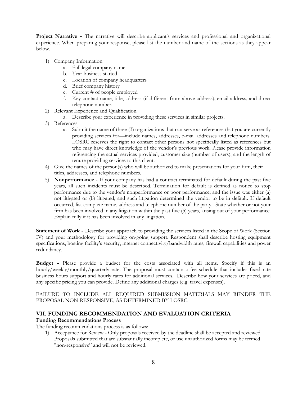**Project Narrative -** The narrative will describe applicant's services and professional and organizational experience. When preparing your response, please list the number and name of the sections as they appear below.

- 1) Company Information
	- a. Full legal company name
	- b. Year business started
	- c. Location of company headquarters
	- d. Brief company history
	- e. Current # of people employed
	- f. Key contact name, title, address (if different from above address), email address, and direct telephone number.
- 2) Relevant Experience and Qualification
	- a. Describe your experience in providing these services in similar projects.
- 3) References
	- a. Submit the name of three (3) organizations that can serve as references that you are currently providing services for—include names, addresses, e-mail addresses and telephone numbers. LOSRC reserves the right to contact other persons not specifically listed as references but who may have direct knowledge of the vendor's previous work. Please provide information referencing the actual services provided, customer size (number of users), and the length of tenure providing services to this client.
- 4) Give the names of the person(s) who will be authorized to make presentations for your firm, their titles, addresses, and telephone numbers.
- 5) **Nonperformance** If your company has had a contract terminated for default during the past five years, all such incidents must be described. Termination for default is defined as notice to stop performance due to the vendor's nonperformance or poor performance; and the issue was either (a) not litigated or (b) litigated, and such litigation determined the vendor to be in default. If default occurred, list complete name, address and telephone number of the party. State whether or not your firm has been involved in any litigation within the past five (5) years, arising out of your performance. Explain fully if it has been involved in any litigation.

**Statement of Work -** Describe your approach to providing the services listed in the Scope of Work (Section IV) and your methodology for providing on-going support. Respondent shall describe hosting equipment specifications, hosting facility's security, internet connectivity/bandwidth rates, firewall capabilities and power redundancy.

**Budget -** Please provide a budget for the costs associated with all items. Specify if this is an hourly/weekly/monthly/quarterly rate. The proposal must contain a fee schedule that includes fixed rate business hours support and hourly rates for additional services. Describe how your services are priced, and any specific pricing you can provide. Define any additional charges (e.g. travel expenses).

FAILURE TO INCLUDE ALL REQUIRED SUBMISSION MATERIALS MAY RENDER THE PROPOSAL NON-RESPONSIVE, AS DETERMINED BY LOSRC.

#### **VII. FUNDING RECOMMENDATION AND EVALUATION CRITERIA**

#### **Funding Recommendations Process**

The funding recommendations process is as follows:

1) Acceptance for Review - Only proposals received by the deadline shall be accepted and reviewed. Proposals submitted that are substantially incomplete, or use unauthorized forms may be termed "non-responsive" and will not be reviewed.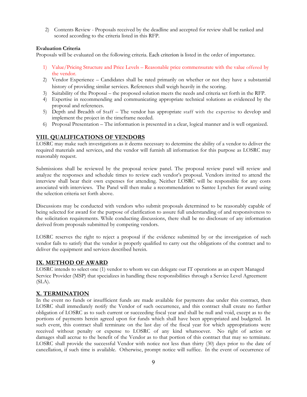2) Contents Review - Proposals received by the deadline and accepted for review shall be ranked and scored according to the criteria listed in this RFP.

#### **Evaluation Criteria**

Proposals will be evaluated on the following criteria. Each criterion is listed in the order of importance.

- 1) Value/Pricing Structure and Price Levels Reasonable price commensurate with the value offered by the vendor.
- 2) Vendor Experience Candidates shall be rated primarily on whether or not they have a substantial history of providing similar services. References shall weigh heavily in the scoring.
- 3) Suitability of the Proposal the proposed solution meets the needs and criteria set forth in the RFP.
- 4) Expertise in recommending and communicating appropriate technical solutions as evidenced by the proposal and references.
- 5) Depth and Breadth of Staff The vendor has appropriate staff with the expertise to develop and implement the project in the timeframe needed.
- 6) Proposal Presentation The information is presented in a clear, logical manner and is well organized.

#### **VIII. QUALIFICATIONS OF VENDORS**

LOSRC may make such investigations as it deems necessary to determine the ability of a vendor to deliver the required materials and services, and the vendor will furnish all information for this purpose as LOSRC may reasonably request.

Submissions shall be reviewed by the proposal review panel. The proposal review panel will review and analyze the responses and schedule times to review each vendor's proposal. Vendors invited to attend the interview shall bear their own expenses for attending. Neither LOSRC will be responsible for any costs associated with interviews. The Panel will then make a recommendation to Santee Lynches for award using the selection criteria set forth above.

Discussions may be conducted with vendors who submit proposals determined to be reasonably capable of being selected for award for the purpose of clarification to assure full understanding of and responsiveness to the solicitation requirements. While conducting discussions, there shall be no disclosure of any information derived from proposals submitted by competing vendors.

LOSRC reserves the right to reject a proposal if the evidence submitted by or the investigation of such vendor fails to satisfy that the vendor is properly qualified to carry out the obligations of the contract and to deliver the equipment and services described herein.

#### **IX. METHOD OF AWARD**

LOSRC intends to select one (1) vendor to whom we can delegate our IT operations as an expert Managed Service Provider (MSP) that specializes in handling these responsibilities through a Service Level Agreement  $(SLA)$ .

#### **X. TERMINATION**

In the event no funds or insufficient funds are made available for payments due under this contract, then LOSRC shall immediately notify the Vendor of such occurrence, and this contract shall create no further obligation of LOSRC as to such current or succeeding fiscal year and shall be null and void, except as to the portions of payments herein agreed upon for funds which shall have been appropriated and budgeted. In such event, this contract shall terminate on the last day of the fiscal year for which appropriations were received without penalty or expense to LOSRC of any kind whatsoever. No right of action or damages shall accrue to the benefit of the Vendor as to that portion of this contract that may so terminate. LOSRC shall provide the successful Vendor with notice not less than thirty (30) days prior to the date of cancellation, if such time is available. Otherwise, prompt notice will suffice. In the event of occurrence of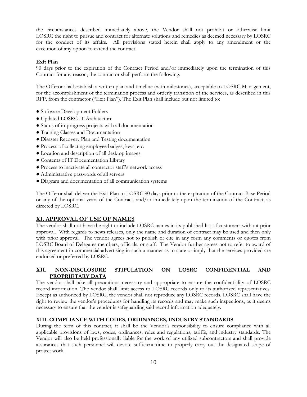the circumstances described immediately above, the Vendor shall not prohibit or otherwise limit LOSRC the right to pursue and contract for alternate solutions and remedies as deemed necessary by LOSRC for the conduct of its affairs. All provisions stated herein shall apply to any amendment or the execution of any option to extend the contract.

#### **Exit Plan**

90 days prior to the expiration of the Contract Period and/or immediately upon the termination of this Contract for any reason, the contractor shall perform the following:

The Offeror shall establish a written plan and timeline (with milestones), acceptable to LOSRC Management, for the accomplishment of the termination process and orderly transition of the services, as described in this RFP, from the contractor ("Exit Plan"). The Exit Plan shall include but not limited to:

- Software Development Folders
- Updated LOSRC IT Architecture
- Status of in-progress projects with all documentation
- Training Classes and Documentation
- Disaster Recovery Plan and Testing documentation
- Process of collecting employee badges, keys, etc.
- Location and description of all desktop images
- Contents of IT Documentation Library
- Process to inactivate all contractor staff's network access
- Administrative passwords of all servers
- Diagram and documentation of all communication systems

The Offeror shall deliver the Exit Plan to LOSRC 90 days prior to the expiration of the Contract Base Period or any of the optional years of the Contract, and/or immediately upon the termination of the Contract, as directed by LOSRC.

#### **XI. APPROVAL OF USE OF NAMES**

The vendor shall not have the right to include LOSRC names in its published list of customers without prior approval. With regards to news releases, only the name and duration of contract may be used and then only with prior approval. The vendor agrees not to publish or cite in any form any comments or quotes from LOSRC Board of Delegates members, officials, or staff. The Vendor further agrees not to refer to award of this agreement in commercial advertising in such a manner as to state or imply that the services provided are endorsed or preferred by LOSRC.

#### **XII. NON-DISCLOSURE STIPULATION ON LOSRC CONFIDENTIAL AND PROPRIETARY DATA**

The vendor shall take all precautions necessary and appropriate to ensure the confidentiality of LOSRC record information. The vendor shall limit access to LOSRC records only to its authorized representatives. Except as authorized by LOSRC, the vendor shall not reproduce any LOSRC records. LOSRC shall have the right to review the vendor's procedures for handling its records and may make such inspections, as it deems necessary to ensure that the vendor is safeguarding said record information adequately.

#### **XIII. COMPLIANCE WITH CODES, ORDINANCES, INDUSTRY STANDARDS**

During the term of this contract, it shall be the Vendor's responsibility to ensure compliance with all applicable provisions of laws, codes, ordinances, rules and regulations, tariffs, and industry standards. The Vendor will also be held professionally liable for the work of any utilized subcontractors and shall provide assurances that such personnel will devote sufficient time to properly carry out the designated scope of project work.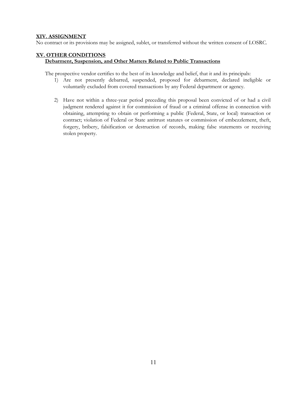#### **XIV. ASSIGNMENT**

No contract or its provisions may be assigned, sublet, or transferred without the written consent of LOSRC.

#### **XV. OTHER CONDITIONS**

#### **Debarment, Suspension, and Other Matters Related to Public Transactions**

The prospective vendor certifies to the best of its knowledge and belief, that it and its principals:

- 1) Are not presently debarred, suspended, proposed for debarment, declared ineligible or voluntarily excluded from covered transactions by any Federal department or agency.
- 2) Have not within a three-year period preceding this proposal been convicted of or had a civil judgment rendered against it for commission of fraud or a criminal offense in connection with obtaining, attempting to obtain or performing a public (Federal, State, or local) transaction or contract; violation of Federal or State antitrust statutes or commission of embezzlement, theft, forgery, bribery, falsification or destruction of records, making false statements or receiving stolen property.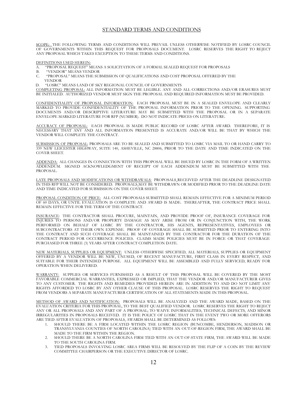#### STANDARD TERMS AND CONDITIONS

SCOPE: THE FOLLOWING TERMS AND CONDITIONS WILL PREVAIL UNLESS OTHERWISE NOTIFIED BY LOSRC COUNCIL OF GOVERNMENTS WITHIN THIS REQUEST FOR PROPOSALS DOCUMENT. LOSRC RESERVES THE RIGHT TO REJECT ANY PROPOSAL WHICH TAKES EXCEPTION TO THESE TERMS AND CONDITIONS.

DEFINITIONS USED HEREIN:

- $\overline{A}$ . "PROPOSAL REQUEST" MEANS A SOLICITATION OF A FORMAL SEALED REQUEST FOR PROPOSALS "VENDOR" MEANS VENDOR
- "VENDOR" MEANS VENDOR
- C. "PROPOSAL" MEANS THE SUBMISSION OF QUALIFICATIONS AND COST PROPOSAL OFFERED BY THE VENDOR
- D. "LOSRC" MEANS LAND OF SKY REGIONAL COUNCIL OF GOVERNMENTS

COMPLETING PROPOSAL: ALL INFORMATION MUST BE LEGIBLE. ANY AND ALL CORRECTIONS AND/OR ERASURES MUST BE INITIALED. AUTHORIZED VENDOR MUST SIGN THE PROPOSAL AND REQUIRED INFORMATION MUST BE PROVIDED.

CONFIDENTIALITY OF PROPOSAL INFORMATION: EACH PROPOSAL MUST BE IN A SEALED ENVELOPE AND CLEARLY MARKED TO PROVIDE CONFIDENTIALITY OF THE PROPOSAL INFORMATION PRIOR TO THE OPENING. SUPPORTING DOCUMENTS AND/OR DESCRIPTIVE LITERATURE MAY BE SUBMITTED WITH THE PROPOSAL OR IN A SEPARATE ENVELOPE MARKED LITERATURE FOR RFP (NUMBER). DO NOT INDICATE PRICES ON LITERATURE.

ACCURACY OF PROPOSAL: EACH PROPOSAL IS MADE PUBLIC RECORD OF LOSRC AFTER AWARD. THEREFORE, IT IS NECESSARY THAT ANY AND ALL INFORMATION PRESENTED IS ACCURATE AND/OR WILL BE THAT BY WHICH THE VENDOR WILL COMPLETE THE CONTRACT.

SUBMISSION OF PROPOSAL: PROPOSALS ARE TO BE SEALED AND SUBMITTED TO LOSRC VIA MAIL TO OR HAND CARRY TO 339 NEW LEICESTER HIGHWAY, SUITE 140, ASHEVILLE, NC 28806, PRIOR TO THE DATE AND TIME INDICATED ON THE COVER SHEET.

ADDENDA: ALL CHANGES IN CONNECTION WITH THIS PROPOSAL WILL BE ISSUED BY LOSRC IN THE FORM OF A WRITTEN ADDENDUM. SIGNED ACKNOWLEDGMENT OF RECEIPT OF EACH ADDENDUM MUST BE SUBMITTED WITH THE PROPOSAL.

LATE PROPOSALS AND MODIFICATIONS OR WITHDRAWALS: PROPOSALS RECEIVED AFTER THE DEADLINE DESIGNATED IN THIS RFP WILL NOT BE CONSIDERED. PROPOSALS MAY BE WITHDRAWN OR MODIFIED PRIOR TO THE DEADLINE DATE AND TIME INDICATED FOR SUBMISSION ON THE COVER SHEET.

PROPOSAL CONDITION OF PRICE: ALL COST PROPOSALS SUBMITTED SHALL REMAIN EFFECTIVE FOR A MINIMUM PERIOD OF 60 DAYS, OR UNTIL EVALUATION IS COMPLETE AND AWARD IS MADE. THEREAFTER, THE CONTRACT PRICE SHALL REMAIN EFFECTIVE FOR THE TERM OF THE CONTRACT.

INSURANCE: THE CONTRACTOR SHALL PROCURE, MAINTAIN, AND PROVIDE PROOF OF, INSURANCE COVERAGE FOR INJURIES TO PERSONS AND/OR PROPERTY DAMAGE AS MAY ARISE FROM OR IN CONJUNCTION WITH, THE WORK PERFORMED ON BEHALF OF LOSRC BY THE CONTRACTOR, HIS AGENTS, REPRESENTATIVES, EMPLOYEES OR SUBCONTRACTORS AT THEIR OWN EXPENSE. PROOF OF COVERAGE SHALL BE SUBMITTED PRIOR TO ENTERING INTO THE CONTRACT AND SUCH COVERAGE SHALL BE MAINTAINED BY THE CONTRACTOR FOR THE DURATION OF THE CONTRACT PERIOD FOR OCCURRENCE POLICIES. CLAIMS MADE POLICIES MUST BE IN FORCE OR THAT COVERAGE PURCHASED FOR THREE (3) YEARS AFTER CONTRACT COMPLETION DATE.

NEW MATERIALS, SUPPLIES OR EQUIPMENT: UNLESS OTHERWISE SPECIFIED, ALL MATERIALS, SUPPLIES OR EQUIPMENT OFFERED BY A VENDOR WILL BE NEW, UNUSED, OF RECENT MANUFACTURE, FIRST CLASS IN EVERY RESPECT, AND SUITABLE FOR THEIR INTENDED PURPOSE. ALL EQUIPMENT WILL BE ASSEMBLED AND FULLY SERVICED, READY FOR OPERATION WHEN DELIVERED.

WARRANTY: SUPPLIES OR SERVICES FURNISHED AS A RESULT OF THIS PROPOSAL WILL BE COVERED BY THE MOST FAVORABLE COMMERCIAL WARRANTIES, EXPRESSED OR IMPLIED, THAT THE VENDOR AND/OR MANUFACTURER GIVES TO ANY CUSTOMER. THE RIGHTS AND REMEDIES PROVIDED HEREIN ARE IN ADDITION TO AND DO NOT LIMIT ANY RIGHTS AFFORDED TO LOSRC BY ANY OTHER CLAUSE OF THIS PROPOSAL. LOSRC RESERVES THE RIGHT TO REQUEST FROM VENDORS A SEPARATE MANUFACTURER CERTIFICATION OF ALL STATEMENTS MADE IN THIS PROPOSAL.

METHOD OF AWARD AND NOTIFICATION: PROPOSALS WILL BE ANALYZED AND THE AWARD MADE, BASED ON THE EVALUATION CRITERIA FOR THIS PROPOSAL, TO THE BEST QUALIFIED VENDOR. LOSRC RESERVES THE RIGHT TO REJECT ANY OR ALL PROPOSALS AND ANY PART OF A PROPOSAL; TO WAIVE INFORMALITIES, TECHNICAL DEFECTS, AND MINOR IRREGULARITIES IN PROPOSALS RECEIVED. IT IS THE POLICY OF LOSRC THAT IN THE EVENT TWO OR MORE OFFERORS ARE TIED AFTER EVALUATION OF PROPOSALS, AWARDS SHALL BE DETERMINED AS FOLLOWS:

- 1. SHOULD THERE BE A FIRM LOCATED WITHIN THE LOSRC REGION (BUNCOMBE, HENDERSON, MADISON OR TRANSYLVANIA COUNTIES OF NORTH CAROLINA) TIED WITH AN OUT-OF-REGION FIRM, THE AWARD SHALL BE MADE TO THE FIRM WITHIN THE REGION.
- 2. SHOULD THERE BE A NORTH CAROLINA FIRM TIED WITH AN OUT-OF-STATE FIRM, THE AWARD WILL BE MADE TO THE SOUTH CAROLINA FIRM.
- TIED PROPOSALS INVOLVING LOSRC AREA FIRMS WILL BE RESOLVED BY THE FLIP OF A COIN BY THE REVIEW COMMITTEE CHAIRPERSON OR THE EXECUTIVE DIRECTOR OF LOSRC.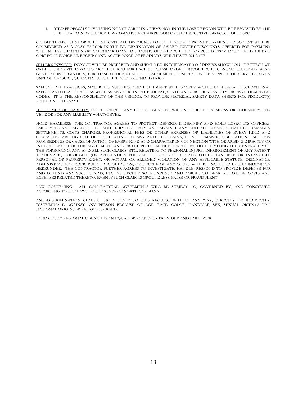4. TIED PROPOSALS INVOLVING NORTH CAROLINA FIRMS NOT IN THE LOSRC REGION WILL BE RESOLVED BY THE FLIP OF A COIN BY THE REVIEW COMMITTEE CHAIRPERSON OR THE EXECUTIVE DIRECTOR OF LOSRC.

CREDIT TERMS: VENDOR WILL INDICATE ALL DISCOUNTS FOR FULL AND/OR PROMPT PAYMENT. DISCOUNT WILL BE CONSIDERED AS A COST FACTOR IN THE DETERMINATION OF AWARD, EXCEPT DISCOUNTS OFFERED FOR PAYMENT WITHIN LESS THAN TEN (10) CALENDAR DAYS. DISCOUNTS OFFERED WILL BE COMPUTED FROM DATE OF RECEIPT OF CORRECT INVOICE OR RECEIPT AND ACCEPTANCE OF PRODUCTS, WHICHEVER IS LATER.

SELLER'S INVOICE: INVOICE WILL BE PREPARED AND SUBMITTED IN DUPLICATE TO ADDRESS SHOWN ON THE PURCHASE ORDER. SEPARATE INVOICES ARE REQUIRED FOR EACH PURCHASE ORDER. INVOICE WILL CONTAIN THE FOLLOWING GENERAL INFORMATION; PURCHASE ORDER NUMBER, ITEM NUMBER, DESCRIPTION OF SUPPLIES OR SERVICES, SIZES, UNIT OF MEASURE, QUANTITY, UNIT PRICE AND EXTENDED PRICE.

SAFETY: ALL PRACTICES, MATERIALS, SUPPLIES, AND EQUIPMENT WILL COMPLY WITH THE FEDERAL OCCUPATIONAL SAFETY AND HEALTH ACT, AS WELL AS ANY PERTINENT FEDERAL, STATE AND/OR LOCAL SAFETY OR ENVIRONMENTAL CODES. IT IS THE RESPONSIBILITY OF THE VENDOR TO PROVIDE MATERIAL SAFETY DATA SHEETS FOR PRODUCT(S) REQUIRING THE SAME.

DISCLAIMER OF LIABILITY: LOSRC AND/OR ANY OF ITS AGENCIES, WILL NOT HOLD HARMLESS OR INDEMNIFY ANY VENDOR FOR ANY LIABILITY WHATSOEVER.

HOLD HARMLESS: THE CONTRACTOR AGREES TO PROTECT, DEFEND, INDEMNIFY AND HOLD LOSRC, ITS OFFICERS, EMPLOYEES AND AGENTS FREE AND HARMLESS FROM AND AGAINST ANY AND ALL LOSSES, PENALTIES, DAMAGES, SETTLEMENTS, COSTS CHARGES, PROFESSIONAL FEES OR OTHER EXPENSES OR LIABILITIES OF EVERY KIND AND CHARACTER ARISING OUT OF OR RELATING TO ANY AND ALL CLAIMS, LIENS, DEMANDS, OBLIGATIONS, ACTIONS, PROCEEDINGS OR CAUSE OF ACTION OF EVERY KIND AND CHARACTER IN CONNECTION WITH OR ARISING DIRECTLY OR INDIRECTLY OUT OF THIS AGREEMENT AND/OR THE PERFORMANCE HEREOF, WITHOUT LIMITING THE GENERALITY OF THE FOREGOING, ANY AND ALL SUCH CLAIMS, ETC., RELATING TO PERSONAL INJURY, INFRINGEMENT OF ANY PATENT, TRADEMARK, COPYRIGHT, (OR APPLICATION FOR ANY THEREOF) OR OF ANY OTHER TANGIBLE OR INTANGIBLE PERSONAL OR PROPERTY RIGHT, OR ACTUAL OR ALLEGED VIOLATION OF ANY APPLICABLE STATUTE, ORDINANCE, ADMINISTRATIVE ORDER, RULE OR REGULATION, OR DECREE OF ANY COURT WILL BE INCLUDED IN THE INDEMNITY HEREUNDER. THE CONTRACTOR FURTHER AGREES TO INVESTIGATE, HANDLE, RESPOND TO PROVIDE DEFENSE FOR AND DEFEND ANY SUCH CLAIMS, ETC. AT HIS/HER SOLE EXPENSE AND AGREES TO BEAR ALL OTHER COSTS AND EXPENSES RELATED THERETO, EVEN IF SUCH CLAIM IS GROUNDLESS, FALSE OR FRAUDULENT.

LAW GOVERNING: ALL CONTRACTUAL AGREEMENTS WILL BE SUBJECT TO, GOVERNED BY, AND CONSTRUED ACCORDING TO THE LAWS OF THE STATE OF NORTH CAROLINA.

ANTI-DISCRIMINATION CLAUSE: NO VENDOR TO THIS REQUEST WILL IN ANY WAY, DIRECTLY OR INDIRECTLY, DISCRIMINATE AGAINST ANY PERSON BECAUSE OF AGE, RACE, COLOR, HANDICAP, SEX, SEXUAL ORIENTATION, NATIONAL ORIGIN, OR RELIGIOUS CREED.

LAND OF SKY REGIONAL COUNCIL IS AN EQUAL OPPORTUNITY PROVIDER AND EMPLOYER.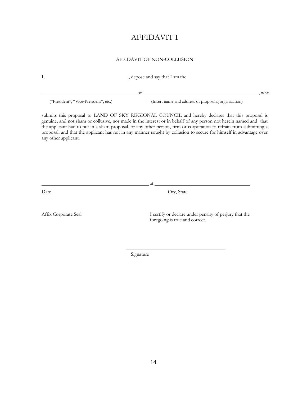### AFFIDAVIT I

#### AFFIDAVIT OF NON‐COLLUSION

| depose and say that I am the          |                                                                                                                                                                                                                                                                                                                                                                                                                                                                  |  |
|---------------------------------------|------------------------------------------------------------------------------------------------------------------------------------------------------------------------------------------------------------------------------------------------------------------------------------------------------------------------------------------------------------------------------------------------------------------------------------------------------------------|--|
|                                       | <u> 1980 - Johann Barn, mars an t-Amerikaansk politiker (</u><br>of<br>, who                                                                                                                                                                                                                                                                                                                                                                                     |  |
| ("President", "Vice-President", etc.) | (Insert name and address of proposing organization)                                                                                                                                                                                                                                                                                                                                                                                                              |  |
| any other applicant.                  | submits this proposal to LAND OF SKY REGIONAL COUNCIL and hereby declares that this proposal is<br>genuine, and not sham or collusive, nor made in the interest or in behalf of any person not herein named and that<br>the applicant had to put in a sham proposal, or any other person, firm or corporation to refrain from submitting a<br>proposal, and that the applicant has not in any manner sought by collusion to secure for himself in advantage over |  |
|                                       |                                                                                                                                                                                                                                                                                                                                                                                                                                                                  |  |
|                                       |                                                                                                                                                                                                                                                                                                                                                                                                                                                                  |  |
|                                       | at                                                                                                                                                                                                                                                                                                                                                                                                                                                               |  |
| Date                                  | City, State                                                                                                                                                                                                                                                                                                                                                                                                                                                      |  |
|                                       |                                                                                                                                                                                                                                                                                                                                                                                                                                                                  |  |
| Affix Corporate Seal:                 | I certify or declare under penalty of perjury that the<br>foregoing is true and correct.                                                                                                                                                                                                                                                                                                                                                                         |  |
|                                       |                                                                                                                                                                                                                                                                                                                                                                                                                                                                  |  |
|                                       |                                                                                                                                                                                                                                                                                                                                                                                                                                                                  |  |
|                                       | Signature                                                                                                                                                                                                                                                                                                                                                                                                                                                        |  |
|                                       |                                                                                                                                                                                                                                                                                                                                                                                                                                                                  |  |
|                                       |                                                                                                                                                                                                                                                                                                                                                                                                                                                                  |  |
|                                       |                                                                                                                                                                                                                                                                                                                                                                                                                                                                  |  |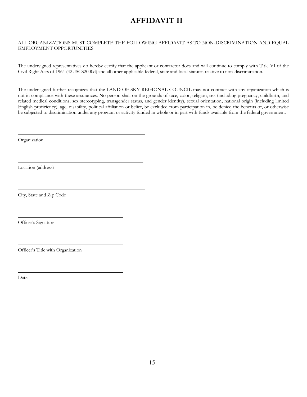# **AFFIDAVIT II**

#### ALL ORGANIZATIONS MUST COMPLETE THE FOLLOWING AFFIDAVIT AS TO NON‐DISCRIMINATION AND EQUAL EMPLOYMENT OPPORTUNITIES.

The undersigned representatives do hereby certify that the applicant or contractor does and will continue to comply with Title VI of the Civil Right Acts of 1964 (42USCS2000d) and all other applicable federal, state and local statutes relative to non‐discrimination.

The undersigned further recognizes that the LAND OF SKY REGIONAL COUNCIL may not contract with any organization which is not in compliance with these assurances. No person shall on the grounds of race, color, religion, sex (including pregnancy, childbirth, and related medical conditions, sex stereotyping, transgender status, and gender identity), sexual orientation, national origin (including limited English proficiency), age, disability, political affiliation or belief, be excluded from participation in, be denied the benefits of, or otherwise be subjected to discrimination under any program or activity funded in whole or in part with funds available from the federal government.

Organization

Location (address)

City, State and Zip Code

Officer's Signature

Officer's Title with Organization

Date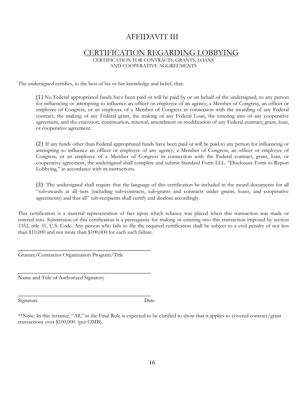### AFFIDAVIT III

#### CERTIFICATION REGARDING LOBBYING

CERTIFICATION FOR CONTRACTS, GRANTS, LOANS AND COOPERATIVE AGGREEMENTS

The undersigned certifies, to the best of his or her knowledge and belief, that:

(1) No Federal appropriated funds have been paid or will be paid by or on behalf of the undersigned, to any person for influencing or attempting to influence an officer or employee of an agency, a Member of Congress, an officer or employee of Congress, or an employee of a Member of Congress in connection with the awarding of any Federal contract, the making of any Federal grant, the making of any Federal Loan, the entering into of any cooperative agreement, and the extension, continuation, renewal, amendment or modification of any Federal contract, grant, loan, or cooperative agreement.

(2) If any funds other than Federal appropriated funds have been paid or will be paid to any person for influencing or attempting to influence an officer or employee of any agency, a Member of Congress, an officer or employee of Congress, or an employee of a Member of Congress in connection with the Federal contract, grant, loan, or cooperative agreement, the undersigned shall complete and submit Standard Form LLL. "Disclosure Form to Report Lobbying," in accordance with its instructions.

(3) The undersigned shall require that the language of this certification be included in the award documents for all "sub‐awards at all tiers (including sub‐contracts, sub‐grants and contracts under grants, loans, and cooperative agreements) and that all" sub‐recipients shall certify and disclose accordingly.

This certification is a material representation of fact upon which reliance was placed when this transaction was made or entered into. Submission of this certification is a prerequisite for making or entering into this transaction imposed by section 1352, title 31, U.S. Code. Any person who fails to file the required certification shall be subject to a civil penalty of not less than \$10,000 and not more than \$100,000 for each such failure.

Grantee/Contractor Organization Program/Title

Name and Title of Authorized Signatory

Signature Date

\*\*Note: In this instance, "All," in the Final Rule is expected to be clarified to show that it applies to covered contract/grant transactions over \$100,000. (per OMB).